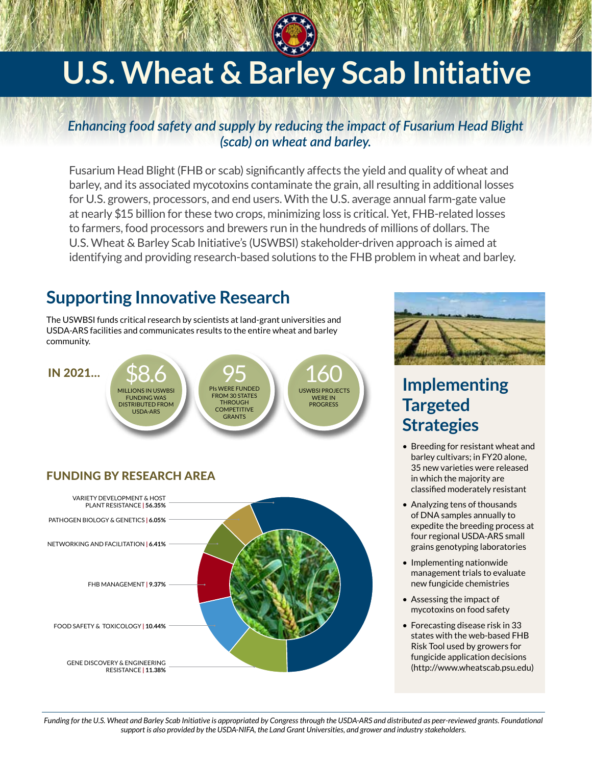# **U.s. Wheat & Barley Scab Initiative**

### *Enhancing food safety and supply by reducing the impact of Fusarium Head Blight (scab) on wheat and barley.*

Fusarium Head Blight(FHB or scab) significantly affects the yield and quality of wheat and barley, and its associated mycotoxins contaminate the grain, all resulting in additional losses for U.S. growers, processors, and end users. With the U.S. average annual farm-gate value at nearly \$15 billion for these two crops, minimizing loss is critical. Yet, FHB-related losses to farmers, food processors and brewers run in the hundreds of millions of dollars. The U.S. Wheat & Barley Scab Initiative's (USWBSI) stakeholder-driven approach is aimed at identifying and providing research-based solutions to the FHB problem in wheat and barley.

## **Supporting Innovative Research**

The USWBSI funds critical research by scientists at land-grant universities and USDA-ARS facilities and communicates results to the entire wheat and barley community.

#### IN 2021…

\$8.6 Millions in USWBSI funding was distributed from USDA-ARS



160 USWBSI projects were in progress

## Funding by Research Area





## **Implementing Targeted Strategies**

- Breeding for resistant wheat and barley cultivars; in FY20 alone, 35 new varieties were released in which the majority are classified moderately resistant
- Analyzing tens of thousands of DNA samples annually to expedite the breeding process at four regional USDA-ARS small grains genotyping laboratories
- Implementing nationwide management trials to evaluate new fungicide chemistries
- Assessing the impact of mycotoxins on food safety
- Forecasting disease risk in 33 states with the web-based FHB Risk Tool used by growers for fungicide application decisions ([http://www.wheatscab.psu.edu\)](http://www.wheatscab.psu.edu)